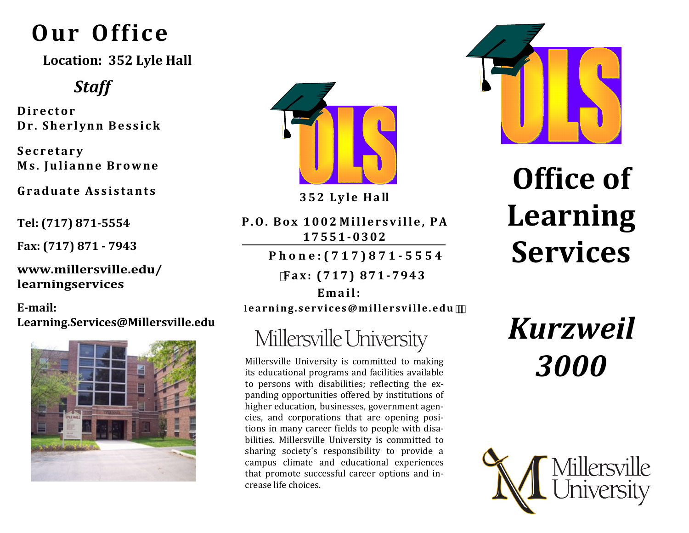# **Our Office**

**Location: 352 Lyle Hall**

#### *Staff*

**D i r e c t o r Dr. Sherlynn Bessick** 

**S e c r e t a r y M s . J u l i a n n e B r o w ne** 

**G r a d u a t e As s i s t a n t s** 

**Tel: (717) 871-5554**

**Fax: (717) 871 - 7943**

**www.millersville.edu/ learningservices** 

**E-mail: Learning.Services@Millersville.edu**





**3 5 2 L y l e H a ll**

P.O. Box 1002 Millersville, PA **1 7 5 5 1 - 0302**

**P h o n e : ( 7 1 7 ) 8 7 1 - 5 5 5 4** 

**F a x : ( 7 1 7 ) 8 7 1 - 7943** 

Email: **le a r n i n g . s e r v i c e s @mi l l e r s v i l l e . e d u** 

## Millersville University

Millersville University is committed to making its educational programs and facilities available to persons with disabilities; reflecting the expanding opportunities offered by institutions of higher education, businesses, government agencies, and corporations that are opening positions in many career fields to people with disabilities. Millersville University is committed to sharing society's responsibility to provide a campus climate and educational experiences that promote successful career options and increase life choices.



# **Office of Learning Services**

*Kurzweil 3000*